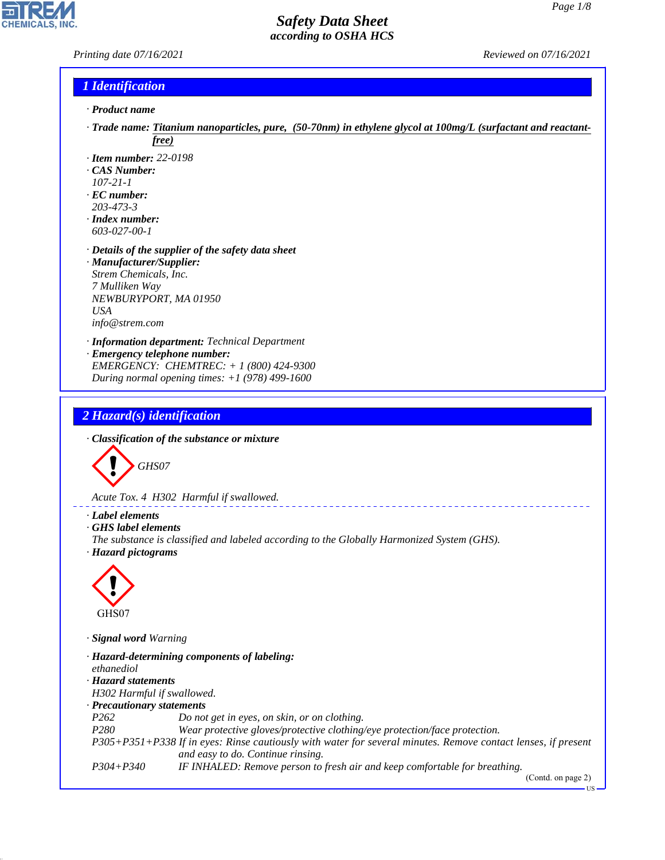*Printing date 07/16/2021 Reviewed on 07/16/2021*

**CHEMICALS** 

#### *1 Identification*

- *· Product name*
- *· Trade name: Titanium nanoparticles, pure, (50-70nm) in ethylene glycol at 100mg/L (surfactant and reactantfree)*
- *· Item number: 22-0198*
- *· CAS Number:*
- *107-21-1*
- *· EC number: 203-473-3*
- *· Index number: 603-027-00-1*
- *· Details of the supplier of the safety data sheet · Manufacturer/Supplier: Strem Chemicals, Inc. 7 Mulliken Way NEWBURYPORT, MA 01950 USA info@strem.com*
- *· Information department: Technical Department · Emergency telephone number: EMERGENCY: CHEMTREC: + 1 (800) 424-9300 During normal opening times: +1 (978) 499-1600*

#### *2 Hazard(s) identification*

*· Classification of the substance or mixture*



*Acute Tox. 4 H302 Harmful if swallowed.*

#### *· Label elements*

- *· GHS label elements*
- *The substance is classified and labeled according to the Globally Harmonized System (GHS).*
- *· Hazard pictograms*



44.1.1

*· Signal word Warning*

| · Hazard-determining components of labeling: |                                                                                                               |  |  |  |
|----------------------------------------------|---------------------------------------------------------------------------------------------------------------|--|--|--|
| ethanediol                                   |                                                                                                               |  |  |  |
| · Hazard statements                          |                                                                                                               |  |  |  |
| H302 Harmful if swallowed.                   |                                                                                                               |  |  |  |
| · Precautionary statements                   |                                                                                                               |  |  |  |
| P <sub>262</sub>                             | Do not get in eyes, on skin, or on clothing.                                                                  |  |  |  |
| P <sub>280</sub>                             | Wear protective gloves/protective clothing/eye protection/face protection.                                    |  |  |  |
|                                              | P305+P351+P338 If in eyes: Rinse cautiously with water for several minutes. Remove contact lenses, if present |  |  |  |
|                                              | and easy to do. Continue rinsing.                                                                             |  |  |  |
| $P304 + P340$                                | IF INHALED: Remove person to fresh air and keep comfortable for breathing.                                    |  |  |  |
|                                              | (Contdommon)                                                                                                  |  |  |  |

\_\_\_\_\_\_\_\_\_\_\_\_\_\_\_\_\_\_\_\_

(Contd. on page 2)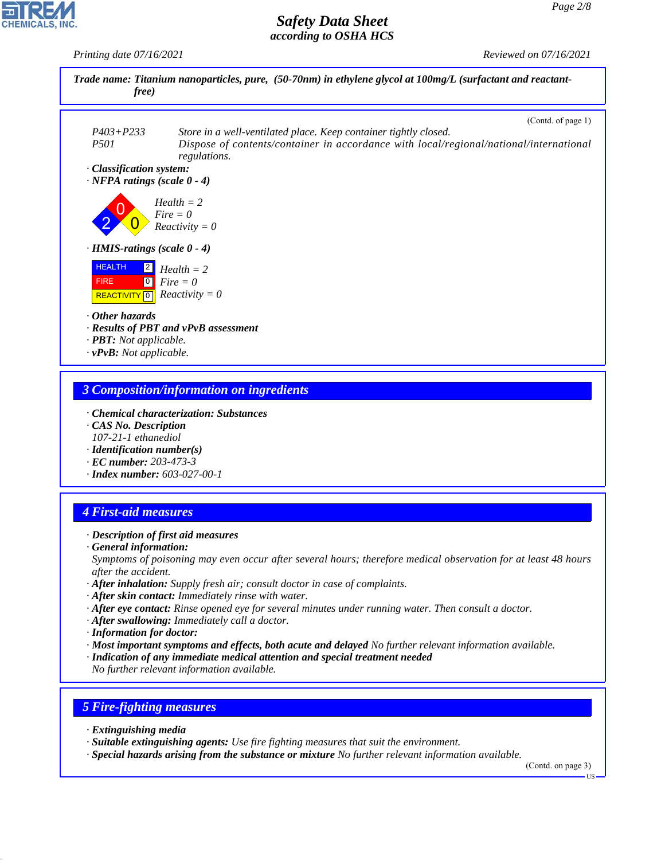*Printing date 07/16/2021 Reviewed on 07/16/2021*



#### *3 Composition/information on ingredients*

- *· Chemical characterization: Substances*
- *· CAS No. Description 107-21-1 ethanediol*
- *· Identification number(s)*
- *· EC number: 203-473-3*
- *· Index number: 603-027-00-1*

#### *4 First-aid measures*

- *· Description of first aid measures*
- *· General information:*

*Symptoms of poisoning may even occur after several hours; therefore medical observation for at least 48 hours after the accident.*

- *· After inhalation: Supply fresh air; consult doctor in case of complaints.*
- *· After skin contact: Immediately rinse with water.*
- *· After eye contact: Rinse opened eye for several minutes under running water. Then consult a doctor.*
- *· After swallowing: Immediately call a doctor.*
- *· Information for doctor:*
- *· Most important symptoms and effects, both acute and delayed No further relevant information available.*
- *· Indication of any immediate medical attention and special treatment needed*

*No further relevant information available.*

#### *5 Fire-fighting measures*

*· Extinguishing media*

44.1.1

- *· Suitable extinguishing agents: Use fire fighting measures that suit the environment.*
- *· Special hazards arising from the substance or mixture No further relevant information available.*

(Contd. on page 3)

US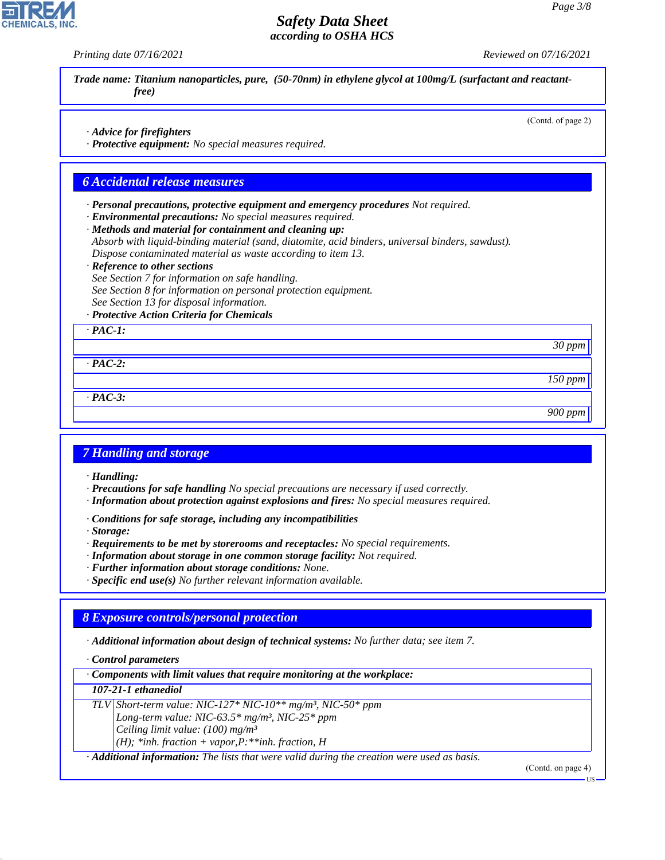*Printing date 07/16/2021 Reviewed on 07/16/2021*

(Contd. of page 2)

*Trade name: Titanium nanoparticles, pure, (50-70nm) in ethylene glycol at 100mg/L (surfactant and reactantfree)*

*· Advice for firefighters*

*· Protective equipment: No special measures required.*

#### *6 Accidental release measures*

*· Personal precautions, protective equipment and emergency procedures Not required.*

*· Environmental precautions: No special measures required.*

*· Methods and material for containment and cleaning up:*

*Absorb with liquid-binding material (sand, diatomite, acid binders, universal binders, sawdust). Dispose contaminated material as waste according to item 13.*

#### *· Reference to other sections*

*See Section 7 for information on safe handling. See Section 8 for information on personal protection equipment. See Section 13 for disposal information.*

#### *· Protective Action Criteria for Chemicals*

*· PAC-1:*

*· PAC-2:*

*30 ppm*

*150 ppm*

*900 ppm*

*· PAC-3:*

## *7 Handling and storage*

*· Handling:*

- *· Precautions for safe handling No special precautions are necessary if used correctly.*
- *· Information about protection against explosions and fires: No special measures required.*
- *· Conditions for safe storage, including any incompatibilities*

*· Storage:*

- *· Requirements to be met by storerooms and receptacles: No special requirements.*
- *· Information about storage in one common storage facility: Not required.*
- *· Further information about storage conditions: None.*
- *· Specific end use(s) No further relevant information available.*

#### *8 Exposure controls/personal protection*

*· Additional information about design of technical systems: No further data; see item 7.*

*· Control parameters*

*· Components with limit values that require monitoring at the workplace:*

#### *107-21-1 ethanediol*

44.1.1

*TLV Short-term value: NIC-127\* NIC-10\*\* mg/m³, NIC-50\* ppm Long-term value: NIC-63.5\* mg/m³, NIC-25\* ppm*

*Ceiling limit value: (100) mg/m³*

*(H); \*inh. fraction + vapor,P:\*\*inh. fraction, H*

*· Additional information: The lists that were valid during the creation were used as basis.*

(Contd. on page 4)

US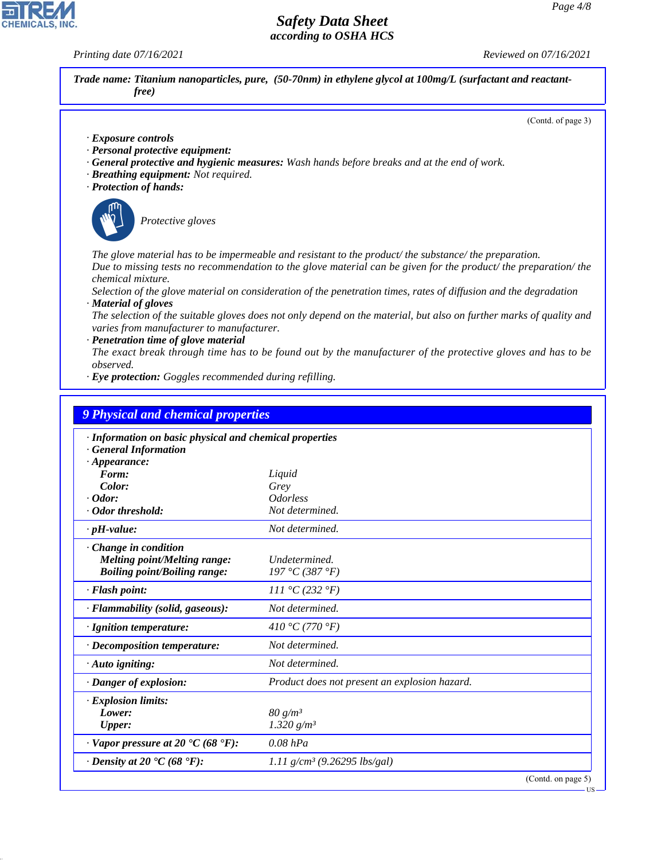*Printing date 07/16/2021 Reviewed on 07/16/2021*

|                                                                                                                                                           | (Contd. of page 3)                                                                                                                                                                                                                       |
|-----------------------------------------------------------------------------------------------------------------------------------------------------------|------------------------------------------------------------------------------------------------------------------------------------------------------------------------------------------------------------------------------------------|
| · Exposure controls<br>· Personal protective equipment:<br>· Breathing equipment: Not required.<br>· Protection of hands:                                 | · General protective and hygienic measures: Wash hands before breaks and at the end of work.                                                                                                                                             |
| Protective gloves                                                                                                                                         |                                                                                                                                                                                                                                          |
| chemical mixture.                                                                                                                                         | The glove material has to be impermeable and resistant to the product/the substance/the preparation.<br>Due to missing tests no recommendation to the glove material can be given for the product/the preparation/the                    |
| · Material of gloves                                                                                                                                      | Selection of the glove material on consideration of the penetration times, rates of diffusion and the degradation<br>The selection of the suitable gloves does not only depend on the material, but also on further marks of quality and |
| varies from manufacturer to manufacturer.<br>· Penetration time of glove material<br>observed.<br>· Eye protection: Goggles recommended during refilling. | The exact break through time has to be found out by the manufacturer of the protective gloves and has to be                                                                                                                              |
| <b>9 Physical and chemical properties</b><br>· Information on basic physical and chemical properties<br><b>General Information</b>                        |                                                                                                                                                                                                                                          |
| $\cdot$ Appearance:<br>Form:<br>Color:<br>$\cdot$ Odor:                                                                                                   | Liquid<br>Grey<br><b>Odorless</b>                                                                                                                                                                                                        |
| · Odor threshold:                                                                                                                                         | Not determined.<br>Not determined.                                                                                                                                                                                                       |
| $\cdot$ pH-value:<br>Change in condition<br><b>Melting point/Melting range:</b><br><b>Boiling point/Boiling range:</b>                                    | Undetermined.<br>197 °C (387 °F)                                                                                                                                                                                                         |
| · Flash point:                                                                                                                                            | 111 °C (232 °F)                                                                                                                                                                                                                          |
| · Flammability (solid, gaseous):                                                                                                                          | Not determined.                                                                                                                                                                                                                          |
| · Ignition temperature:                                                                                                                                   | 410 °C (770 °F)                                                                                                                                                                                                                          |
| · Decomposition temperature:                                                                                                                              | Not determined.                                                                                                                                                                                                                          |
| $\cdot$ Auto igniting:                                                                                                                                    | Not determined.                                                                                                                                                                                                                          |
| · Danger of explosion:                                                                                                                                    | Product does not present an explosion hazard.                                                                                                                                                                                            |
| · Explosion limits:<br>Lower:<br><b>Upper:</b>                                                                                                            | 80 g/m <sup>3</sup><br>1.320 $g/m^3$                                                                                                                                                                                                     |
| $\cdot$ Vapor pressure at 20 $\cdot$ C (68 $\cdot$ F):                                                                                                    | $0.08$ $hPa$                                                                                                                                                                                                                             |
| $\cdot$ Density at 20 $\cdot$ C (68 $\cdot$ F):                                                                                                           | 1.11 $g/cm^3$ (9.26295 lbs/gal)                                                                                                                                                                                                          |



44.1.1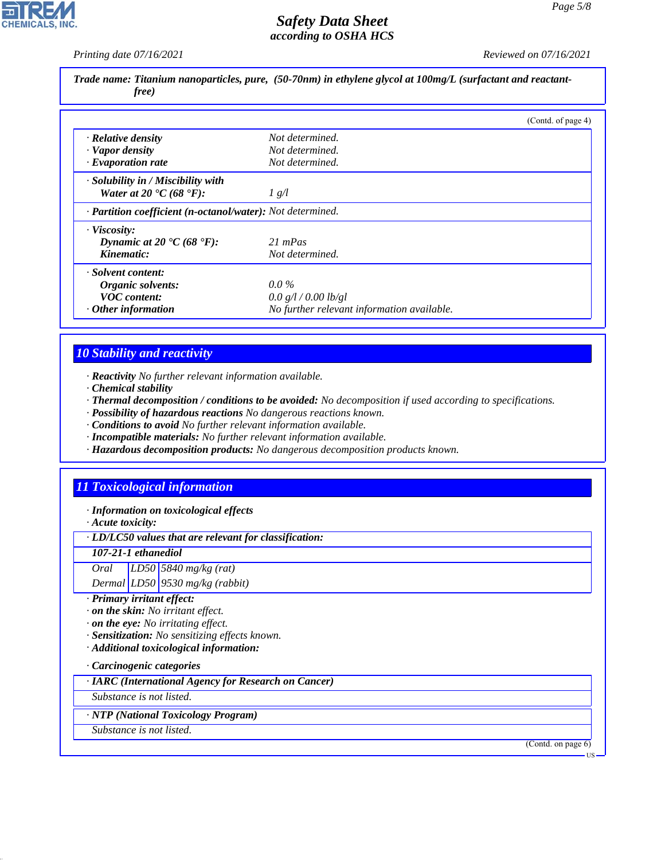**CHEMICALS, INC** 

*Printing date 07/16/2021 Reviewed on 07/16/2021*

| Trade name: Titanium nanoparticles, pure, (50-70nm) in ethylene glycol at 100mg/L (surfactant and reactant-<br><i>free</i> ) |                                            |                    |  |
|------------------------------------------------------------------------------------------------------------------------------|--------------------------------------------|--------------------|--|
|                                                                                                                              |                                            | (Contd. of page 4) |  |
| $\cdot$ Relative density                                                                                                     | Not determined.                            |                    |  |
| · Vapor density                                                                                                              | Not determined.                            |                    |  |
| $\cdot$ Evaporation rate                                                                                                     | Not determined.                            |                    |  |
| $\cdot$ Solubility in / Miscibility with                                                                                     |                                            |                    |  |
| Water at 20 $\textdegree$ C (68 $\textdegree$ F):                                                                            | $\frac{1}{8}$                              |                    |  |
| · Partition coefficient (n-octanol/water): Not determined.                                                                   |                                            |                    |  |
| · Viscosity:                                                                                                                 |                                            |                    |  |
| Dynamic at 20 $\textdegree$ C (68 $\textdegree$ F):                                                                          | $21$ mPas                                  |                    |  |
| Kinematic:                                                                                                                   | Not determined.                            |                    |  |
| · Solvent content:                                                                                                           |                                            |                    |  |
| Organic solvents:                                                                                                            | $0.0\%$                                    |                    |  |
| <b>VOC</b> content:                                                                                                          | 0.0 g/l / 0.00 lb/gl                       |                    |  |
| $\cdot$ Other information                                                                                                    | No further relevant information available. |                    |  |

#### *10 Stability and reactivity*

*· Reactivity No further relevant information available.*

- *· Chemical stability*
- *· Thermal decomposition / conditions to be avoided: No decomposition if used according to specifications.*
- *· Possibility of hazardous reactions No dangerous reactions known.*
- *· Conditions to avoid No further relevant information available.*
- *· Incompatible materials: No further relevant information available.*
- *· Hazardous decomposition products: No dangerous decomposition products known.*

#### *11 Toxicological information*

*· Information on toxicological effects*

*· Acute toxicity:*

*· LD/LC50 values that are relevant for classification:*

*107-21-1 ethanediol*

*Oral LD50 5840 mg/kg (rat)*

*Dermal LD50 9530 mg/kg (rabbit)*

- *· Primary irritant effect:*
- *· on the skin: No irritant effect.*
- *· on the eye: No irritating effect.*
- *· Sensitization: No sensitizing effects known.*
- *· Additional toxicological information:*

*· Carcinogenic categories*

*· IARC (International Agency for Research on Cancer)*

*Substance is not listed.*

*· NTP (National Toxicology Program)*

*Substance is not listed.*

44.1.1

(Contd. on page 6)

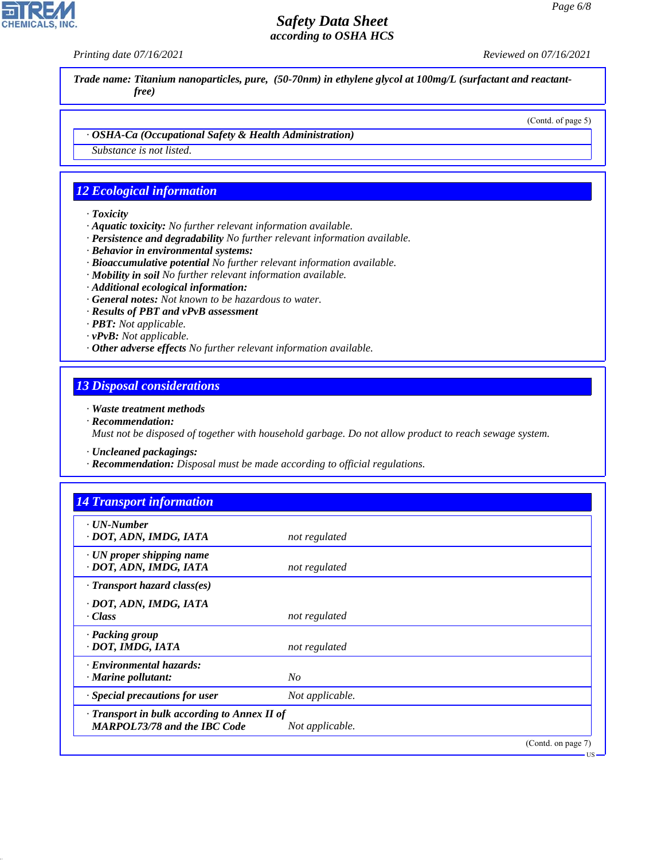**CHEMICALS, INC** 

*Printing date 07/16/2021 Reviewed on 07/16/2021*

*Trade name: Titanium nanoparticles, pure, (50-70nm) in ethylene glycol at 100mg/L (surfactant and reactantfree)*

(Contd. of page 5)

US

*· OSHA-Ca (Occupational Safety & Health Administration)*

*Substance is not listed.*

#### *12 Ecological information*

- *· Toxicity*
- *· Aquatic toxicity: No further relevant information available.*
- *· Persistence and degradability No further relevant information available.*
- *· Behavior in environmental systems:*
- *· Bioaccumulative potential No further relevant information available.*
- *· Mobility in soil No further relevant information available.*
- *· Additional ecological information:*
- *· General notes: Not known to be hazardous to water.*
- *· Results of PBT and vPvB assessment*
- *· PBT: Not applicable.*
- *· vPvB: Not applicable.*
- *· Other adverse effects No further relevant information available.*

#### *13 Disposal considerations*

*· Waste treatment methods*

*· Recommendation:*

44.1.1

*Must not be disposed of together with household garbage. Do not allow product to reach sewage system.*

- *· Uncleaned packagings:*
- *· Recommendation: Disposal must be made according to official regulations.*

| $\cdot$ UN-Number                                         |                 |  |
|-----------------------------------------------------------|-----------------|--|
| · DOT, ADN, IMDG, IATA                                    | not regulated   |  |
| $\cdot$ UN proper shipping name<br>· DOT, ADN, IMDG, IATA | not regulated   |  |
| $\cdot$ Transport hazard class(es)                        |                 |  |
| · DOT, ADN, IMDG, IATA                                    |                 |  |
| · Class                                                   | not regulated   |  |
| · Packing group                                           |                 |  |
| · DOT, IMDG, IATA                                         | not regulated   |  |
| · Environmental hazards:                                  |                 |  |
| $\cdot$ Marine pollutant:                                 | $N_{O}$         |  |
| · Special precautions for user                            | Not applicable. |  |
| $\cdot$ Transport in bulk according to Annex II of        |                 |  |
| <b>MARPOL73/78 and the IBC Code</b>                       | Not applicable. |  |

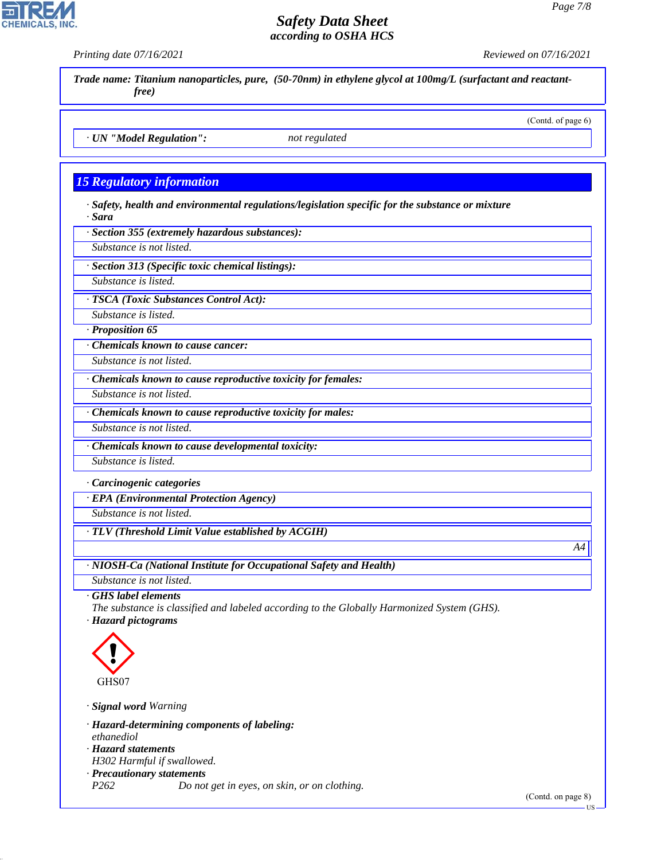# *Safety Data Sheet*



*· Signal word Warning*

*· Hazard-determining components of labeling: ethanediol*

*· Hazard statements*

44.1.1

*H302 Harmful if swallowed.*

*· Precautionary statements P262 Do not get in eyes, on skin, or on clothing.*

(Contd. on page 8)

US

*A4*